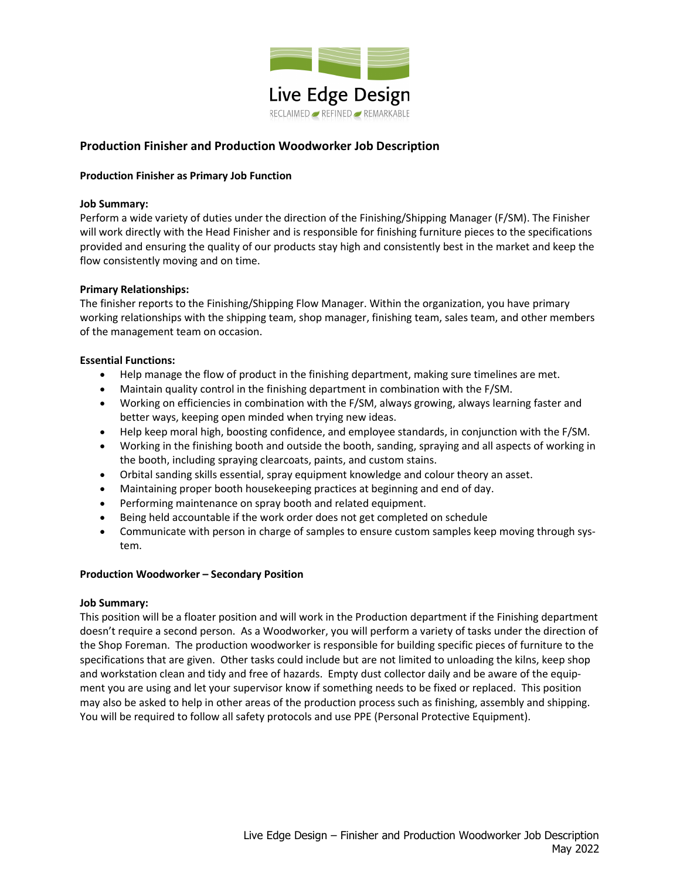

# Production Finisher and Production Woodworker Job Description

### Production Finisher as Primary Job Function

### Job Summary:

Perform a wide variety of duties under the direction of the Finishing/Shipping Manager (F/SM). The Finisher will work directly with the Head Finisher and is responsible for finishing furniture pieces to the specifications provided and ensuring the quality of our products stay high and consistently best in the market and keep the flow consistently moving and on time.

### Primary Relationships:

The finisher reports to the Finishing/Shipping Flow Manager. Within the organization, you have primary working relationships with the shipping team, shop manager, finishing team, sales team, and other members of the management team on occasion.

### Essential Functions:

- Help manage the flow of product in the finishing department, making sure timelines are met.
- Maintain quality control in the finishing department in combination with the F/SM.
- Working on efficiencies in combination with the F/SM, always growing, always learning faster and better ways, keeping open minded when trying new ideas.
- Help keep moral high, boosting confidence, and employee standards, in conjunction with the F/SM.
- Working in the finishing booth and outside the booth, sanding, spraying and all aspects of working in the booth, including spraying clearcoats, paints, and custom stains.
- Orbital sanding skills essential, spray equipment knowledge and colour theory an asset.
- Maintaining proper booth housekeeping practices at beginning and end of day.
- Performing maintenance on spray booth and related equipment.
- Being held accountable if the work order does not get completed on schedule
- Communicate with person in charge of samples to ensure custom samples keep moving through system.

# Production Woodworker – Secondary Position

#### Job Summary:

This position will be a floater position and will work in the Production department if the Finishing department doesn't require a second person. As a Woodworker, you will perform a variety of tasks under the direction of the Shop Foreman. The production woodworker is responsible for building specific pieces of furniture to the specifications that are given. Other tasks could include but are not limited to unloading the kilns, keep shop and workstation clean and tidy and free of hazards. Empty dust collector daily and be aware of the equipment you are using and let your supervisor know if something needs to be fixed or replaced. This position may also be asked to help in other areas of the production process such as finishing, assembly and shipping. You will be required to follow all safety protocols and use PPE (Personal Protective Equipment).